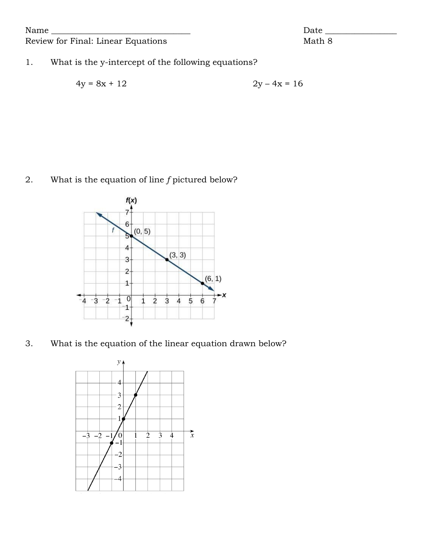Name \_\_\_\_\_\_\_\_\_\_\_\_\_\_\_\_\_\_\_\_\_\_\_\_\_\_\_\_\_\_\_\_\_ Date \_\_\_\_\_\_\_\_\_\_\_\_\_\_\_\_\_

## Review for Final: Linear Equations Math 8

## 1. What is the y-intercept of the following equations?

$$
4y = 8x + 12 \qquad \qquad 2y - 4x = 16
$$

## 2. What is the equation of line *f* pictured below?



3. What is the equation of the linear equation drawn below?

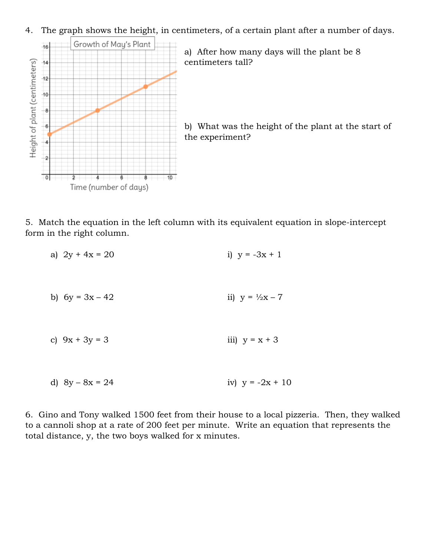4. The graph shows the height, in centimeters, of a certain plant after a number of days.



a) After how many days will the plant be 8 centimeters tall?

b) What was the height of the plant at the start of the experiment?

5. Match the equation in the left column with its equivalent equation in slope-intercept form in the right column.

- a)  $2y + 4x = 20$  i)  $y = -3x + 1$
- b)  $6y = 3x 42$  ii)  $y = \frac{1}{2}x 7$
- c)  $9x + 3y = 3$  iii)  $y = x + 3$
- d)  $8y 8x = 24$  iv)  $y = -2x + 10$

6. Gino and Tony walked 1500 feet from their house to a local pizzeria. Then, they walked to a cannoli shop at a rate of 200 feet per minute. Write an equation that represents the total distance, y, the two boys walked for x minutes.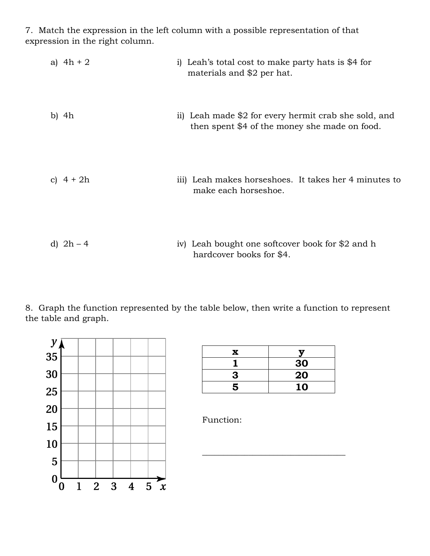7. Match the expression in the left column with a possible representation of that expression in the right column.

| a) $4h + 2$ | i) Leah's total cost to make party hats is \$4 for<br>materials and \$2 per hat.                       |
|-------------|--------------------------------------------------------------------------------------------------------|
| b) $4h$     | ii) Leah made \$2 for every hermit crab she sold, and<br>then spent \$4 of the money she made on food. |
| c) $4 + 2h$ | iii) Leah makes horseshoes. It takes her 4 minutes to<br>make each horseshoe.                          |
| d) $2h - 4$ | iv) Leah bought one softcover book for \$2 and h<br>hardcover books for \$4.                           |

8. Graph the function represented by the table below, then write a function to represent the table and graph.



| x |    |
|---|----|
|   | 30 |
| 3 | 20 |
| 5 | 10 |

\_\_\_\_\_\_\_\_\_\_\_\_\_\_\_\_\_\_\_\_\_\_\_\_\_\_\_\_\_\_\_\_\_\_

Function: